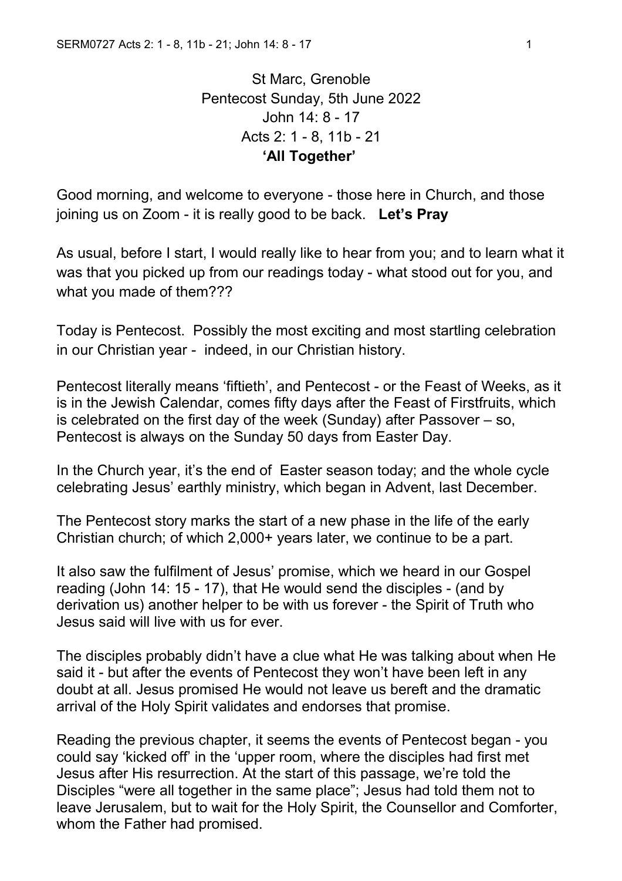St Marc, Grenoble Pentecost Sunday, 5th June 2022 John 14: 8 - 17 Acts 2: 1 - 8, 11b - 21 **'All Together'**

Good morning, and welcome to everyone - those here in Church, and those joining us on Zoom - it is really good to be back. **Let's Pray**

As usual, before I start, I would really like to hear from you; and to learn what it was that you picked up from our readings today - what stood out for you, and what you made of them???

Today is Pentecost. Possibly the most exciting and most startling celebration in our Christian year - indeed, in our Christian history.

Pentecost literally means 'fiftieth', and Pentecost - or the Feast of Weeks, as it is in the Jewish Calendar, comes fifty days after the Feast of Firstfruits, which is celebrated on the first day of the week (Sunday) after Passover – so, Pentecost is always on the Sunday 50 days from Easter Day.

In the Church year, it's the end of Easter season today; and the whole cycle celebrating Jesus' earthly ministry, which began in Advent, last December.

The Pentecost story marks the start of a new phase in the life of the early Christian church; of which 2,000+ years later, we continue to be a part.

It also saw the fulfilment of Jesus' promise, which we heard in our Gospel reading (John 14: 15 - 17), that He would send the disciples - (and by derivation us) another helper to be with us forever - the Spirit of Truth who Jesus said will live with us for ever.

The disciples probably didn't have a clue what He was talking about when He said it - but after the events of Pentecost they won't have been left in any doubt at all. Jesus promised He would not leave us bereft and the dramatic arrival of the Holy Spirit validates and endorses that promise.

Reading the previous chapter, it seems the events of Pentecost began - you could say 'kicked off' in the 'upper room, where the disciples had first met Jesus after His resurrection. At the start of this passage, we're told the Disciples "were all together in the same place"; Jesus had told them not to leave Jerusalem, but to wait for the Holy Spirit, the Counsellor and Comforter, whom the Father had promised.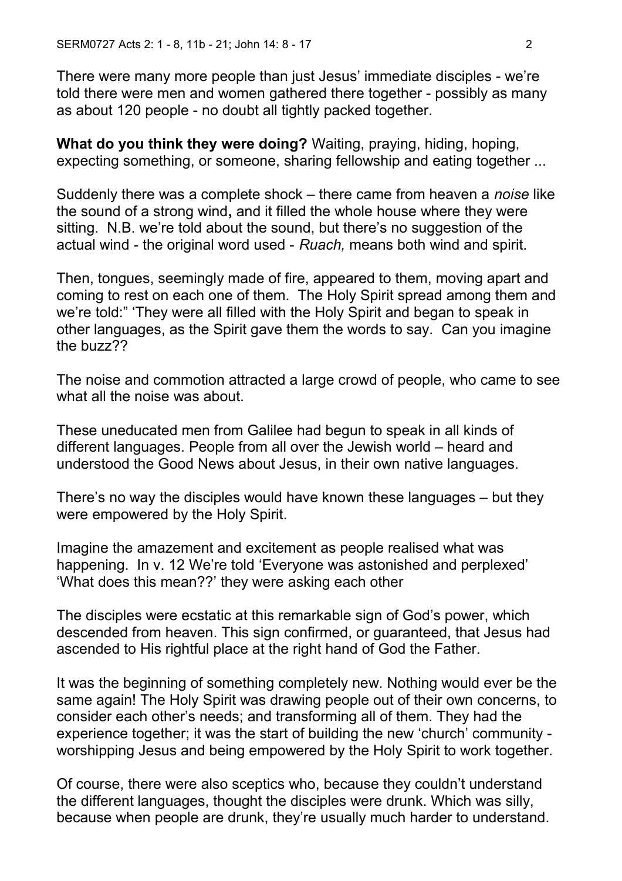There were many more people than just Jesus' immediate disciples - we're told there were men and women gathered there together - possibly as many as about 120 people - no doubt all tightly packed together.

**What do you think they were doing?** Waiting, praying, hiding, hoping, expecting something, or someone, sharing fellowship and eating together ...

Suddenly there was a complete shock – there came from heaven a *noise* like the sound of a strong wind**,** and it filled the whole house where they were sitting. N.B. we're told about the sound, but there's no suggestion of the actual wind - the original word used - *Ruach,* means both wind and spirit.

Then, tongues, seemingly made of fire, appeared to them, moving apart and coming to rest on each one of them. The Holy Spirit spread among them and we're told:" 'They were all filled with the Holy Spirit and began to speak in other languages, as the Spirit gave them the words to say. Can you imagine the buzz??

The noise and commotion attracted a large crowd of people, who came to see what all the noise was about

These uneducated men from Galilee had begun to speak in all kinds of different languages. People from all over the Jewish world – heard and understood the Good News about Jesus, in their own native languages.

There's no way the disciples would have known these languages – but they were empowered by the Holy Spirit.

Imagine the amazement and excitement as people realised what was happening. In v. 12 We're told 'Everyone was astonished and perplexed' 'What does this mean??' they were asking each other

The disciples were ecstatic at this remarkable sign of God's power, which descended from heaven. This sign confirmed, or guaranteed, that Jesus had ascended to His rightful place at the right hand of God the Father.

It was the beginning of something completely new. Nothing would ever be the same again! The Holy Spirit was drawing people out of their own concerns, to consider each other's needs; and transforming all of them. They had the experience together; it was the start of building the new 'church' community worshipping Jesus and being empowered by the Holy Spirit to work together.

Of course, there were also sceptics who, because they couldn't understand the different languages, thought the disciples were drunk. Which was silly, because when people are drunk, they're usually much harder to understand.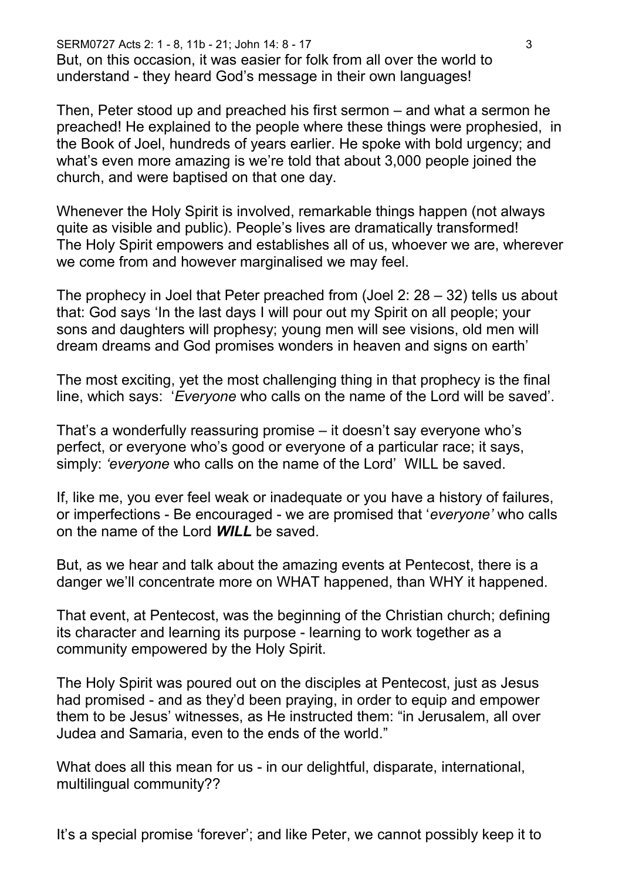SERM0727 Acts 2: 1 - 8, 11b - 21; John 14: 8 - 17 3 But, on this occasion, it was easier for folk from all over the world to understand - they heard God's message in their own languages!

Then, Peter stood up and preached his first sermon – and what a sermon he preached! He explained to the people where these things were prophesied, in the Book of Joel, hundreds of years earlier. He spoke with bold urgency; and what's even more amazing is we're told that about 3,000 people joined the church, and were baptised on that one day.

Whenever the Holy Spirit is involved, remarkable things happen (not always quite as visible and public). People's lives are dramatically transformed! The Holy Spirit empowers and establishes all of us, whoever we are, wherever we come from and however marginalised we may feel.

The prophecy in Joel that Peter preached from (Joel 2: 28 – 32) tells us about that: God says 'In the last days I will pour out my Spirit on all people; your sons and daughters will prophesy; young men will see visions, old men will dream dreams and God promises wonders in heaven and signs on earth'

The most exciting, yet the most challenging thing in that prophecy is the final line, which says: '*Everyone* who calls on the name of the Lord will be saved'.

That's a wonderfully reassuring promise – it doesn't say everyone who's perfect, or everyone who's good or everyone of a particular race; it says, simply: *'everyone* who calls on the name of the Lord' WILL be saved.

If, like me, you ever feel weak or inadequate or you have a history of failures, or imperfections - Be encouraged - we are promised that '*everyone'* who calls on the name of the Lord *WILL* be saved.

But, as we hear and talk about the amazing events at Pentecost, there is a danger we'll concentrate more on WHAT happened, than WHY it happened.

That event, at Pentecost, was the beginning of the Christian church; defining its character and learning its purpose - learning to work together as a community empowered by the Holy Spirit.

The Holy Spirit was poured out on the disciples at Pentecost, just as Jesus had promised - and as they'd been praying, in order to equip and empower them to be Jesus' witnesses, as He instructed them: "in Jerusalem, all over Judea and Samaria, even to the ends of the world."

What does all this mean for us - in our delightful, disparate, international, multilingual community??